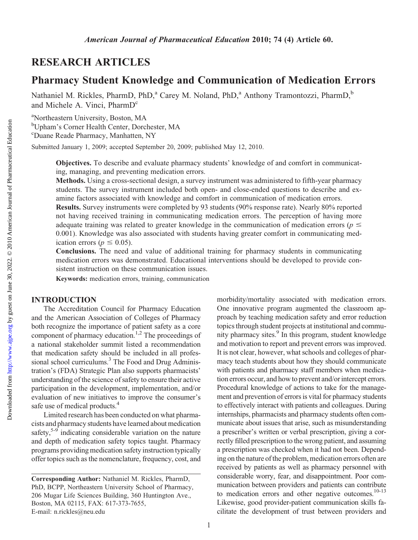# RESEARCH ARTICLES

# Pharmacy Student Knowledge and Communication of Medication Errors

Nathaniel M. Rickles, PharmD, PhD,<sup>a</sup> Carey M. Noland, PhD,<sup>a</sup> Anthony Tramontozzi, PharmD,<sup>b</sup> and Michele A. Vinci, PharmD<sup>c</sup>

<sup>a</sup>Northeastern University, Boston, MA b Upham's Corner Health Center, Dorchester, MA c Duane Reade Pharmacy, Manhatten, NY

Submitted January 1, 2009; accepted September 20, 2009; published May 12, 2010.

Objectives. To describe and evaluate pharmacy students' knowledge of and comfort in communicating, managing, and preventing medication errors.

Methods. Using a cross-sectional design, a survey instrument was administered to fifth-year pharmacy students. The survey instrument included both open- and close-ended questions to describe and examine factors associated with knowledge and comfort in communication of medication errors.

Results. Survey instruments were completed by 93 students (90% response rate). Nearly 80% reported not having received training in communicating medication errors. The perception of having more adequate training was related to greater knowledge in the communication of medication errors ( $p \le$ 0.001). Knowledge was also associated with students having greater comfort in communicating medication errors ( $p \le 0.05$ ).

Conclusions. The need and value of additional training for pharmacy students in communicating medication errors was demonstrated. Educational interventions should be developed to provide consistent instruction on these communication issues.

Keywords: medication errors, training, communication

#### INTRODUCTION

The Accreditation Council for Pharmacy Education and the American Association of Colleges of Pharmacy both recognize the importance of patient safety as a core component of pharmacy education.<sup>1,2</sup> The proceedings of a national stakeholder summit listed a recommendation that medication safety should be included in all professional school curriculums.<sup>3</sup> The Food and Drug Administration's (FDA) Strategic Plan also supports pharmacists' understanding of the science of safety to ensure their active participation in the development, implementation, and/or evaluation of new initiatives to improve the consumer's safe use of medical products.<sup>4</sup>

Limited research has been conducted on what pharmacists and pharmacy students have learned about medication safety, $5-9$  indicating considerable variation on the nature and depth of medication safety topics taught. Pharmacy programs providing medication safety instruction typically offer topics such as the nomenclature, frequency, cost, and

morbidity/mortality associated with medication errors. One innovative program augmented the classroom approach by teaching medication safety and error reduction topics through student projects at institutional and community pharmacy sites.<sup>9</sup> In this program, student knowledge and motivation to report and prevent errors was improved. It is not clear, however, what schools and colleges of pharmacy teach students about how they should communicate with patients and pharmacy staff members when medication errors occur, and how to prevent and/or intercept errors. Procedural knowledge of actions to take for the management and prevention of errors is vital for pharmacy students to effectively interact with patients and colleagues. During internships, pharmacists and pharmacy students often communicate about issues that arise, such as misunderstanding a prescriber's written or verbal prescription, giving a correctly filled prescription to the wrong patient, and assuming a prescription was checked when it had not been. Depending on the nature of the problem, medication errors often are received by patients as well as pharmacy personnel with considerable worry, fear, and disappointment. Poor communication between providers and patients can contribute to medication errors and other negative outcomes. $10-13$ Likewise, good provider-patient communication skills facilitate the development of trust between providers and

Corresponding Author: Nathaniel M. Rickles, PharmD, PhD, BCPP, Northeastern University School of Pharmacy, 206 Mugar Life Sciences Building, 360 Huntington Ave., Boston, MA 02115, FAX: 617-373-7655, E-mail: n.rickles@neu.edu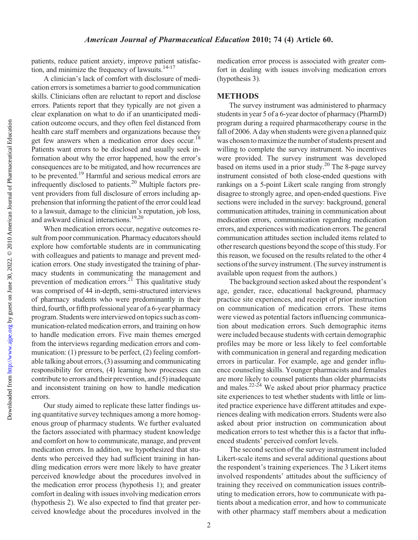patients, reduce patient anxiety, improve patient satisfaction, and minimize the frequency of lawsuits.<sup>14-17</sup>

A clinician's lack of comfort with disclosure of medication errors is sometimes a barrier to good communication skills. Clinicians often are reluctant to report and disclose errors. Patients report that they typically are not given a clear explanation on what to do if an unanticipated medication outcome occurs, and they often feel distanced from health care staff members and organizations because they get few answers when a medication error does occur.<sup>18</sup> Patients want errors to be disclosed and usually seek information about why the error happened, how the error's consequences are to be mitigated, and how recurrences are to be prevented.<sup>19</sup> Harmful and serious medical errors are infrequently disclosed to patients.<sup>20</sup> Multiple factors prevent providers from full disclosure of errors including apprehension that informing the patient of the error could lead to a lawsuit, damage to the clinician's reputation, job loss, and awkward clinical interactions.<sup>19,20</sup>

When medication errors occur, negative outcomes result from poor communication. Pharmacy educators should explore how comfortable students are in communicating with colleagues and patients to manage and prevent medication errors. One study investigated the training of pharmacy students in communicating the management and prevention of medication errors.<sup>21</sup> This qualitative study was comprised of 44 in-depth, semi-structured interviews of pharmacy students who were predominantly in their third, fourth, or fifth professional year of a 6-year pharmacy program. Students were interviewed on topics such as communication-related medication errors, and training on how to handle medication errors. Five main themes emerged from the interviews regarding medication errors and communication: (1) pressure to be perfect, (2) feeling comfortable talking about errors, (3) assuming and communicating responsibility for errors, (4) learning how processes can contribute to errors and their prevention, and (5) inadequate and inconsistent training on how to handle medication errors.

Our study aimed to replicate these latter findings using quantitative survey techniques among a more homogenous group of pharmacy students. We further evaluated the factors associated with pharmacy student knowledge and comfort on how to communicate, manage, and prevent medication errors. In addition, we hypothesized that students who perceived they had sufficient training in handling medication errors were more likely to have greater perceived knowledge about the procedures involved in the medication error process (hypothesis 1); and greater comfort in dealing with issues involving medication errors (hypothesis 2). We also expected to find that greater perceived knowledge about the procedures involved in the

medication error process is associated with greater comfort in dealing with issues involving medication errors (hypothesis 3).

#### METHODS

The survey instrument was administered to pharmacy students in year 5 of a 6-year doctor of pharmacy (PharmD) program during a required pharmacotherapy course in the fall of 2006. A day when students were given a planned quiz was chosen to maximize the number of students present and willing to complete the survey instrument. No incentives were provided. The survey instrument was developed based on items used in a prior study.<sup>20</sup> The 8-page survey instrument consisted of both close-ended questions with rankings on a 5-point Likert scale ranging from strongly disagree to strongly agree, and open-ended questions. Five sections were included in the survey: background, general communication attitudes, training in communication about medication errors, communication regarding medication errors, and experiences with medication errors. The general communication attitudes section included items related to other research questions beyond the scope of this study. For this reason, we focused on the results related to the other 4 sections of the survey instrument. (The survey instrument is available upon request from the authors.)

The background section asked about the respondent's age, gender, race, educational background, pharmacy practice site experiences, and receipt of prior instruction on communication of medication errors. These items were viewed as potential factors influencing communication about medication errors. Such demographic items were included because students with certain demographic profiles may be more or less likely to feel comfortable with communication in general and regarding medication errors in particular. For example, age and gender influence counseling skills. Younger pharmacists and females are more likely to counsel patients than older pharmacists and males.<sup>22-24</sup> We asked about prior pharmacy practice site experiences to test whether students with little or limited practice experience have different attitudes and experiences dealing with medication errors. Students were also asked about prior instruction on communication about medication errors to test whether this is a factor that influenced students' perceived comfort levels.

The second section of the survey instrument included Likert-scale items and several additional questions about the respondent's training experiences. The 3 Likert items involved respondents' attitudes about the sufficiency of training they received on communication issues contributing to medication errors, how to communicate with patients about a medication error, and how to communicate with other pharmacy staff members about a medication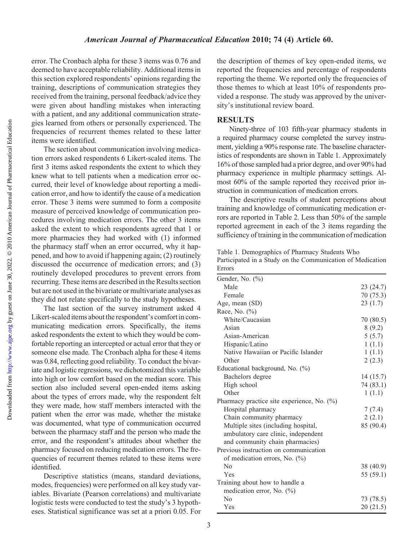Downloaded from

error. The Cronbach alpha for these 3 items was 0.76 and deemed to have acceptable reliability. Additional items in this section explored respondents' opinions regarding the training, descriptions of communication strategies they received from the training, personal feedback/advice they were given about handling mistakes when interacting with a patient, and any additional communication strategies learned from others or personally experienced. The frequencies of recurrent themes related to these latter items were identified.

The section about communication involving medication errors asked respondents 6 Likert-scaled items. The first 3 items asked respondents the extent to which they knew what to tell patients when a medication error occurred, their level of knowledge about reporting a medication error, and how to identify the cause of a medication error. These 3 items were summed to form a composite measure of perceived knowledge of communication procedures involving medication errors. The other 3 items asked the extent to which respondents agreed that 1 or more pharmacies they had worked with (1) informed the pharmacy staff when an error occurred, why it happened, and how to avoid if happening again; (2) routinely discussed the occurrence of medication errors; and (3) routinely developed procedures to prevent errors from recurring. These items are described in the Results section but are not used in the bivariate or multivariate analyses as they did not relate specifically to the study hypotheses.

The last section of the survey instrument asked 4 Likert-scaled items about the respondent's comfort in communicating medication errors. Specifically, the items asked respondents the extent to which they would be comfortable reporting an intercepted or actual error that they or someone else made. The Cronbach alpha for these 4 items was 0.84, reflecting good reliability. To conduct the bivariate and logistic regressions, we dichotomized this variable into high or low comfort based on the median score. This section also included several open-ended items asking about the types of errors made, why the respondent felt they were made, how staff members interacted with the patient when the error was made, whether the mistake was documented, what type of communication occurred between the pharmacy staff and the person who made the error, and the respondent's attitudes about whether the pharmacy focused on reducing medication errors. The frequencies of recurrent themes related to these items were identified.

Descriptive statistics (means, standard deviations, modes, frequencies) were performed on all key study variables. Bivariate (Pearson correlations) and multivariate logistic tests were conducted to test the study's 3 hypotheses. Statistical significance was set at a priori 0.05. For the description of themes of key open-ended items, we reported the frequencies and percentage of respondents reporting the theme. We reported only the frequencies of those themes to which at least 10% of respondents provided a response. The study was approved by the university's institutional review board.

### **RESULTS**

Ninety-three of 103 fifth-year pharmacy students in a required pharmacy course completed the survey instrument, yielding a 90% response rate. The baseline characteristics of respondents are shown in Table 1. Approximately 16% of those sampled had a prior degree, and over 90% had pharmacy experience in multiple pharmacy settings. Almost 60% of the sample reported they received prior instruction in communication of medication errors.

The descriptive results of student perceptions about training and knowledge of communicating medication errors are reported in Table 2. Less than 50% of the sample reported agreement in each of the 3 items regarding the sufficiency of training in the communication of medication

Table 1. Demographics of Pharmacy Students Who Participated in a Study on the Communication of Medication

| Errors                                        |           |
|-----------------------------------------------|-----------|
| Gender, No. $(\%$ )                           |           |
| Male                                          | 23 (24.7) |
| Female                                        | 70 (75.3) |
| Age, mean (SD)                                | 23(1.7)   |
| Race, No. (%)                                 |           |
| White/Caucasian                               | 70 (80.5) |
| Asian                                         | 8(9.2)    |
| Asian-American                                | 5(5.7)    |
| Hispanic/Latino                               | 1(1.1)    |
| Native Hawaiian or Pacific Islander           | 1(1.1)    |
| Other                                         | 2(2.3)    |
| Educational background, No. (%)               |           |
| Bachelors degree                              | 14 (15.7) |
| High school                                   | 74 (83.1) |
| Other                                         | 1(1.1)    |
| Pharmacy practice site experience, No. $(\%)$ |           |
| Hospital pharmacy                             | 7(7.4)    |
| Chain community pharmacy                      | 2(2.1)    |
| Multiple sites (including hospital,           | 85 (90.4) |
| ambulatory care clinic, independent           |           |
| and community chain pharmacies)               |           |
| Previous instruction on communication         |           |
| of medication errors, No. (%)                 |           |
| No                                            | 38 (40.9) |
| Yes                                           | 55 (59.1) |
| Training about how to handle a                |           |
| medication error, No. $(\% )$                 |           |
| $\rm No$                                      | 73 (78.5) |
| Yes                                           | 20 (21.5) |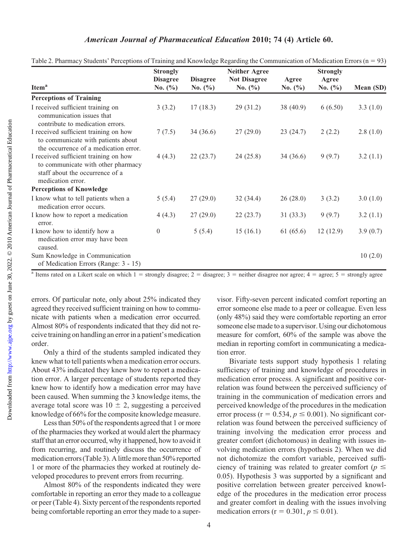#### American Journal of Pharmaceutical Education 2010; 74 (4) Article 60.

|                                                                                                                                     | <b>Strongly</b>                |                                | <b>Neither Agree</b>               |                      | <b>Strongly</b>      |           |
|-------------------------------------------------------------------------------------------------------------------------------------|--------------------------------|--------------------------------|------------------------------------|----------------------|----------------------|-----------|
| Item <sup>a</sup>                                                                                                                   | <b>Disagree</b><br>No. $(\% )$ | <b>Disagree</b><br>No. $(\% )$ | <b>Not Disagree</b><br>No. $(\% )$ | Agree<br>No. $(\% )$ | Agree<br>No. $(\% )$ | Mean (SD) |
| <b>Perceptions of Training</b>                                                                                                      |                                |                                |                                    |                      |                      |           |
| I received sufficient training on<br>communication issues that<br>contribute to medication errors.                                  | 3(3.2)                         | 17(18.3)                       | 29(31.2)                           | 38 (40.9)            | 6(6.50)              | 3.3(1.0)  |
| I received sufficient training on how<br>to communicate with patients about<br>the occurrence of a medication error.                | 7(7.5)                         | 34(36.6)                       | 27(29.0)                           | 23(24.7)             | 2(2.2)               | 2.8(1.0)  |
| I received sufficient training on how<br>to communicate with other pharmacy<br>staff about the occurrence of a<br>medication error. | 4(4.3)                         | 22(23.7)                       | 24(25.8)                           | 34 (36.6)            | 9(9.7)               | 3.2(1.1)  |
| <b>Perceptions of Knowledge</b>                                                                                                     |                                |                                |                                    |                      |                      |           |
| I know what to tell patients when a<br>medication error occurs.                                                                     | 5(5.4)                         | 27(29.0)                       | 32(34.4)                           | 26(28.0)             | 3(3.2)               | 3.0(1.0)  |
| I know how to report a medication<br>error.                                                                                         | 4(4.3)                         | 27(29.0)                       | 22(23.7)                           | 31(33.3)             | 9(9.7)               | 3.2(1.1)  |
| I know how to identify how a<br>medication error may have been<br>caused.                                                           | $\Omega$                       | 5(5.4)                         | 15(16.1)                           | 61(65.6)             | 12(12.9)             | 3.9(0.7)  |
| Sum Knowledge in Communication<br>of Medication Errors (Range: 3 - 15)                                                              |                                |                                |                                    |                      |                      | 10(2.0)   |

Table 2. Pharmacy Students' Perceptions of Training and Knowledge Regarding the Communication of Medication Errors ( $n = 93$ )

<sup>a</sup> Items rated on a Likert scale on which  $1 =$  strongly disagree;  $2 =$  disagree;  $3 =$  neither disagree nor agree;  $4 =$  agree;  $5 =$  strongly agree

errors. Of particular note, only about 25% indicated they agreed they received sufficient training on how to communicate with patients when a medication error occurred. Almost 80% of respondents indicated that they did not receive training on handling an error in a patient's medication order.

Only a third of the students sampled indicated they knew what to tell patients when a medication error occurs. About 43% indicated they knew how to report a medication error. A larger percentage of students reported they knew how to identify how a medication error may have been caused. When summing the 3 knowledge items, the average total score was  $10 \pm 2$ , suggesting a perceived knowledge of 66% for the composite knowledge measure.

Less than 50% of the respondents agreed that 1 or more of the pharmacies they worked at would alert the pharmacy staff that an error occurred, why it happened, how to avoid it from recurring, and routinely discuss the occurrence of medication errors (Table 3). A little more than 50% reported 1 or more of the pharmacies they worked at routinely developed procedures to prevent errors from recurring.

Almost 80% of the respondents indicated they were comfortable in reporting an error they made to a colleague or peer (Table 4). Sixty percent of the respondents reported being comfortable reporting an error they made to a supervisor. Fifty-seven percent indicated comfort reporting an error someone else made to a peer or colleague. Even less (only 48%) said they were comfortable reporting an error someone else made to a supervisor. Using our dichotomous measure for comfort, 60% of the sample was above the median in reporting comfort in communicating a medication error.

Bivariate tests support study hypothesis 1 relating sufficiency of training and knowledge of procedures in medication error process. A significant and positive correlation was found between the perceived sufficiency of training in the communication of medication errors and perceived knowledge of the procedures in the medication error process ( $r = 0.534$ ,  $p \le 0.001$ ). No significant correlation was found between the perceived sufficiency of training involving the medication error process and greater comfort (dichotomous) in dealing with issues involving medication errors (hypothesis 2). When we did not dichotomize the comfort variable, perceived sufficiency of training was related to greater comfort ( $p \leq$ 0.05). Hypothesis 3 was supported by a significant and positive correlation between greater perceived knowledge of the procedures in the medication error process and greater comfort in dealing with the issues involving medication errors ( $r = 0.301, p \le 0.01$ ).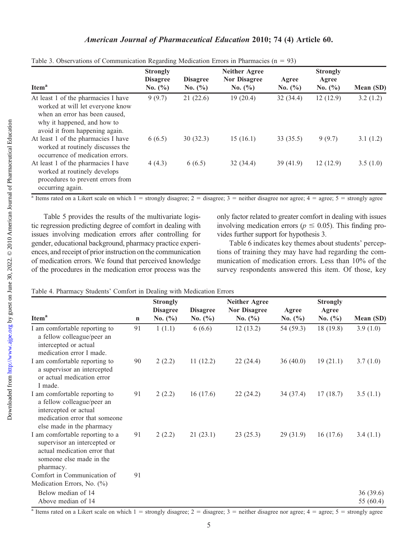#### American Journal of Pharmaceutical Education 2010; 74 (4) Article 60.

| Item <sup>a</sup>                                                                                                                                                          | <b>Strongly</b><br><b>Disagree</b><br>No. $(\% )$ | <b>Disagree</b><br>No. $(\% )$ | <b>Neither Agree</b><br><b>Nor Disagree</b><br>No. $(\% )$ | Agree<br>No. $(\% )$ | <b>Strongly</b><br>Agree<br>No. $(\% )$ | Mean (SD) |
|----------------------------------------------------------------------------------------------------------------------------------------------------------------------------|---------------------------------------------------|--------------------------------|------------------------------------------------------------|----------------------|-----------------------------------------|-----------|
| At least 1 of the pharmacies I have<br>worked at will let everyone know<br>when an error has been caused,<br>why it happened, and how to<br>avoid it from happening again. | 9(9.7)                                            | 21(22.6)                       | 19(20.4)                                                   | 32(34.4)             | 12(12.9)                                | 3.2(1.2)  |
| At least 1 of the pharmacies I have<br>worked at routinely discusses the<br>occurrence of medication errors.                                                               | 6(6.5)                                            | 30(32.3)                       | 15(16.1)                                                   | 33(35.5)             | 9(9.7)                                  | 3.1(1.2)  |
| At least 1 of the pharmacies I have<br>worked at routinely develops<br>procedures to prevent errors from<br>occurring again.                                               | 4(4.3)                                            | 6(6.5)                         | 32(34.4)                                                   | 39(41.9)             | 12(12.9)                                | 3.5(1.0)  |

| Table 3. Observations of Communication Regarding Medication Errors in Pharmacies ( $n = 93$ ) |  |
|-----------------------------------------------------------------------------------------------|--|
|-----------------------------------------------------------------------------------------------|--|

<sup>a</sup> Items rated on a Likert scale on which  $1 =$  strongly disagree;  $2 =$  disagree;  $3 =$  neither disagree nor agree;  $4 =$  agree;  $5 =$  strongly agree

Table 5 provides the results of the multivariate logistic regression predicting degree of comfort in dealing with issues involving medication errors after controlling for gender, educational background, pharmacy practice experiences, and receipt of prior instruction on the communication of medication errors. We found that perceived knowledge of the procedures in the medication error process was the only factor related to greater comfort in dealing with issues involving medication errors ( $p \le 0.05$ ). This finding provides further support for hypothesis 3.

Table 6 indicates key themes about students' perceptions of training they may have had regarding the communication of medication errors. Less than 10% of the survey respondents answered this item. Of those, key

|  | Table 4. Pharmacy Students' Comfort in Dealing with Medication Errors |
|--|-----------------------------------------------------------------------|
|--|-----------------------------------------------------------------------|

|                                                                                                                                                    |             | <b>Strongly</b>                |                                | <b>Neither Agree</b>              |                      | <b>Strongly</b>      |                       |
|----------------------------------------------------------------------------------------------------------------------------------------------------|-------------|--------------------------------|--------------------------------|-----------------------------------|----------------------|----------------------|-----------------------|
| Item <sup>a</sup>                                                                                                                                  | $\mathbf n$ | <b>Disagree</b><br>No. $(\% )$ | <b>Disagree</b><br>No. $(\% )$ | <b>Nor Disagree</b><br>No. $(\%)$ | Agree<br>No. $(\% )$ | Agree<br>No. $(\% )$ | Mean (SD)             |
| I am comfortable reporting to<br>a fellow colleague/peer an<br>intercepted or actual<br>medication error I made.                                   | 91          | 1(1.1)                         | 6(6.6)                         | 12(13.2)                          | 54 (59.3)            | 18(19.8)             | 3.9(1.0)              |
| I am comfortable reporting to<br>a supervisor an intercepted<br>or actual medication error<br>I made.                                              | 90          | 2(2.2)                         | 11(12.2)                       | 22(24.4)                          | 36(40.0)             | 19(21.1)             | 3.7(1.0)              |
| I am comfortable reporting to<br>a fellow colleague/peer an<br>intercepted or actual<br>medication error that someone<br>else made in the pharmacy | 91          | 2(2.2)                         | 16(17.6)                       | 22(24.2)                          | 34(37.4)             | 17(18.7)             | 3.5(1.1)              |
| I am comfortable reporting to a<br>supervisor an intercepted or<br>actual medication error that<br>someone else made in the<br>pharmacy.           | 91          | 2(2.2)                         | 21(23.1)                       | 23(25.3)                          | 29(31.9)             | 16(17.6)             | 3.4(1.1)              |
| Comfort in Communication of<br>Medication Errors, No. (%)                                                                                          | 91          |                                |                                |                                   |                      |                      |                       |
| Below median of 14<br>Above median of 14                                                                                                           |             |                                |                                |                                   |                      |                      | 36(39.6)<br>55 (60.4) |

<sup>a</sup> Items rated on a Likert scale on which  $1 =$  strongly disagree;  $2 =$  disagree;  $3 =$  neither disagree nor agree;  $4 =$  agree;  $5 =$  strongly agree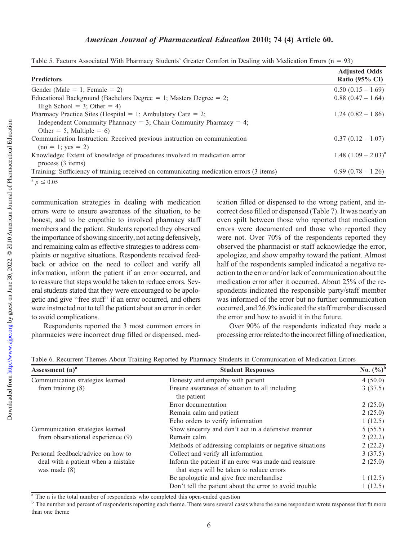| <b>Predictors</b>                                                                       | <b>Adjusted Odds</b><br>Ratio $(95\% \text{ CI})$ |
|-----------------------------------------------------------------------------------------|---------------------------------------------------|
| Gender (Male = 1; Female = 2)                                                           | $0.50(0.15-1.69)$                                 |
| Educational Background (Bachelors Degree $= 1$ ; Masters Degree $= 2$ ;                 | $0.88(0.47-1.64)$                                 |
| High School = 3; Other = 4)                                                             |                                                   |
| Pharmacy Practice Sites (Hospital = 1; Ambulatory Care = 2;                             | $1.24(0.82 - 1.86)$                               |
| Independent Community Pharmacy = 3; Chain Community Pharmacy = 4;                       |                                                   |
| Other = 5; Multiple = 6)                                                                |                                                   |
| Communication Instruction: Received previous instruction on communication               | $0.37(0.12-1.07)$                                 |
| $(no = 1; yes = 2)$                                                                     |                                                   |
| Knowledge: Extent of knowledge of procedures involved in medication error               | $1.48 (1.09 - 2.03)^{a}$                          |
| process $(3$ items)                                                                     |                                                   |
| Training: Sufficiency of training received on communicating medication errors (3 items) | $0.99(0.78-1.26)$                                 |
| $p \leq 0.05$                                                                           |                                                   |

|  |  |  |  |  | Table 5. Factors Associated With Pharmacy Students' Greater Comfort in Dealing with Medication Errors ( $n = 93$ ) |  |  |
|--|--|--|--|--|--------------------------------------------------------------------------------------------------------------------|--|--|
|  |  |  |  |  |                                                                                                                    |  |  |
|  |  |  |  |  |                                                                                                                    |  |  |
|  |  |  |  |  |                                                                                                                    |  |  |

communication strategies in dealing with medication errors were to ensure awareness of the situation, to be honest, and to be empathic to involved pharmacy staff members and the patient. Students reported they observed the importance of showing sincerity, not acting defensively, and remaining calm as effective strategies to address complaints or negative situations. Respondents received feedback or advice on the need to collect and verify all information, inform the patient if an error occurred, and to reassure that steps would be taken to reduce errors. Several students stated that they were encouraged to be apologetic and give ''free stuff'' if an error occurred, and others were instructed not to tell the patient about an error in order to avoid complications.

Respondents reported the 3 most common errors in pharmacies were incorrect drug filled or dispensed, medication filled or dispensed to the wrong patient, and incorrect dose filled or dispensed (Table 7). It was nearly an even spilt between those who reported that medication errors were documented and those who reported they were not. Over 70% of the respondents reported they observed the pharmacist or staff acknowledge the error, apologize, and show empathy toward the patient. Almost half of the respondents sampled indicated a negative reaction to the error and/or lack of communication about the medication error after it occurred. About 25% of the respondents indicated the responsible party/staff member was informed of the error but no further communication occurred, and 26.9% indicated the staff member discussed the error and how to avoid it in the future.

Over 90% of the respondents indicated they made a processing error related to the incorrect filling of medication,

| Assessment $(n)^a$                                   | <b>Student Responses</b>                                                                          | No. $(\%)^b$ |
|------------------------------------------------------|---------------------------------------------------------------------------------------------------|--------------|
| Communication strategies learned                     | Honesty and empathy with patient                                                                  | 4(50.0)      |
| from training $(8)$                                  | Ensure awareness of situation to all including<br>the patient                                     | 3(37.5)      |
|                                                      | Error documentation                                                                               | 2(25.0)      |
|                                                      | Remain calm and patient                                                                           | 2(25.0)      |
|                                                      | Echo orders to verify information                                                                 | 1(12.5)      |
| Communication strategies learned                     | Show sincerity and don't act in a defensive manner                                                | 5(55.5)      |
| from observational experience (9)                    | Remain calm                                                                                       | 2(22.2)      |
|                                                      | Methods of addressing complaints or negative situations                                           | 2(22.2)      |
| Personal feedback/advice on how to                   | Collect and verify all information                                                                | 3(37.5)      |
| deal with a patient when a mistake<br>was made $(8)$ | Inform the patient if an error was made and reassure<br>that steps will be taken to reduce errors | 2(25.0)      |
|                                                      | Be apologetic and give free merchandise                                                           | 1(12.5)      |
|                                                      | Don't tell the patient about the error to avoid trouble                                           | 1(12.5)      |

Table 6. Recurrent Themes About Training Reported by Pharmacy Students in Communication of Medication Errors

<sup>a</sup> The n is the total number of respondents who completed this open-ended question

<sup>b</sup> The number and percent of respondents reporting each theme. There were several cases where the same respondent wrote responses that fit more than one theme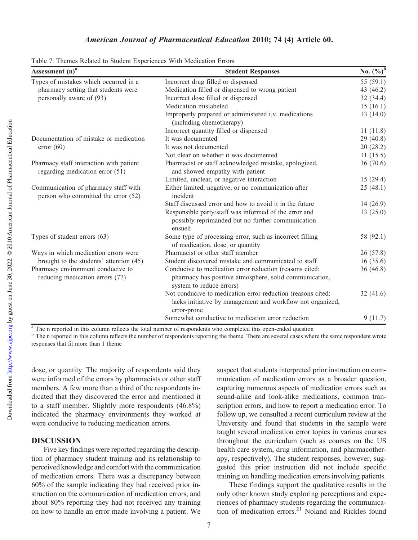| Assessment (n) <sup>a</sup>                                                 | <b>Student Responses</b>                                                                                                                      | No. $(\%)^b$ |
|-----------------------------------------------------------------------------|-----------------------------------------------------------------------------------------------------------------------------------------------|--------------|
| Types of mistakes which occurred in a                                       | Incorrect drug filled or dispensed                                                                                                            | 55 $(59.1)$  |
| pharmacy setting that students were                                         | Medication filled or dispensed to wrong patient                                                                                               | 43 (46.2)    |
| personally aware of (93)                                                    | Incorrect dose filled or dispensed                                                                                                            | 32(34.4)     |
|                                                                             | Medication mislabeled                                                                                                                         | 15(16.1)     |
|                                                                             | Improperly prepared or administered i.v. medications<br>(including chemotherapy)                                                              | 13(14.0)     |
|                                                                             | Incorrect quantity filled or dispensed                                                                                                        | 11(11.8)     |
| Documentation of mistake or medication                                      | It was documented                                                                                                                             | 29(40.8)     |
| error(60)                                                                   | It was not documented                                                                                                                         | 20(28.2)     |
|                                                                             | Not clear on whether it was documented                                                                                                        | 11(15.5)     |
| Pharmacy staff interaction with patient<br>regarding medication error (51)  | Pharmacist or staff acknowledged mistake, apologized,<br>and showed empathy with patient                                                      | 36(70.6)     |
|                                                                             | Limited, unclear, or negative interaction                                                                                                     | 15(29.4)     |
| Communication of pharmacy staff with<br>person who committed the error (52) | Either limited, negative, or no communication after<br>incident                                                                               | 25(48.1)     |
|                                                                             | Staff discussed error and how to avoid it in the future                                                                                       | 14(26.9)     |
|                                                                             | Responsible party/staff was informed of the error and<br>possibly reprimanded but no further communication<br>ensued                          | 13(25.0)     |
| Types of student errors (63)                                                | Some type of processing error, such as incorrect filling<br>of medication, dose, or quantity                                                  | 58 (92.1)    |
| Ways in which medication errors were                                        | Pharmacist or other staff member                                                                                                              | 26(57.8)     |
| brought to the students' attention (45)                                     | Student discovered mistake and communicated to staff                                                                                          | 16(35.6)     |
| Pharmacy environment conducive to<br>reducing medication errors (77)        | Conducive to medication error reduction (reasons cited:<br>pharmacy has positive atmosphere, solid communication,<br>system to reduce errors) | 36(46.8)     |
|                                                                             | Not conducive to medication error reduction (reasons cited:<br>lacks initiative by management and workflow not organized,<br>error-prone      | 32(41.6)     |
|                                                                             | Somewhat conductive to medication error reduction                                                                                             | 9(11.7)      |

Table 7. Themes Related to Student Experiences With Medication Errors

<sup>a</sup> The n reported in this column reflects the total number of respondents who completed this open-ended question

<sup>b</sup> The n reported in this column reflects the number of respondents reporting the theme. There are several cases where the same respondent wrote responses that fit more than 1 theme

dose, or quantity. The majority of respondents said they were informed of the errors by pharmacists or other staff members. A few more than a third of the respondents indicated that they discovered the error and mentioned it to a staff member. Slightly more respondents (46.8%) indicated the pharmacy environments they worked at were conducive to reducing medication errors.

#### DISCUSSION

Five key findings were reported regarding the description of pharmacy student training and its relationship to perceived knowledge and comfort with the communication of medication errors. There was a discrepancy between 60% of the sample indicating they had received prior instruction on the communication of medication errors, and about 80% reporting they had not received any training on how to handle an error made involving a patient. We

suspect that students interpreted prior instruction on communication of medication errors as a broader question, capturing numerous aspects of medication errors such as sound-alike and look-alike medications, common transcription errors, and how to report a medication error. To follow up, we consulted a recent curriculum review at the University and found that students in the sample were taught several medication error topics in various courses throughout the curriculum (such as courses on the US health care system, drug information, and pharmacotherapy, respectively). The student responses, however, suggested this prior instruction did not include specific training on handling medication errors involving patients.

These findings support the qualitative results in the only other known study exploring perceptions and experiences of pharmacy students regarding the communication of medication errors.<sup>21</sup> Noland and Rickles found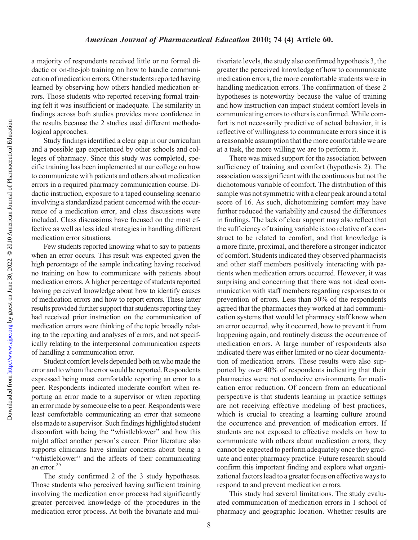Downloaded from

a majority of respondents received little or no formal didactic or on-the-job training on how to handle communication of medication errors. Other students reported having learned by observing how others handled medication errors. Those students who reported receiving formal training felt it was insufficient or inadequate. The similarity in findings across both studies provides more confidence in the results because the 2 studies used different methodological approaches.

Study findings identified a clear gap in our curriculum and a possible gap experienced by other schools and colleges of pharmacy. Since this study was completed, specific training has been implemented at our college on how to communicate with patients and others about medication errors in a required pharmacy communication course. Didactic instruction, exposure to a taped counseling scenario involving a standardized patient concerned with the occurrence of a medication error, and class discussions were included. Class discussions have focused on the most effective as well as less ideal strategies in handling different medication error situations.

Few students reported knowing what to say to patients when an error occurs. This result was expected given the high percentage of the sample indicating having received no training on how to communicate with patients about medication errors. A higher percentage of students reported having perceived knowledge about how to identify causes of medication errors and how to report errors. These latter results provided further support that students reporting they had received prior instruction on the communication of medication errors were thinking of the topic broadly relating to the reporting and analyses of errors, and not specifically relating to the interpersonal communication aspects of handling a communication error.

Student comfort levels depended both on who made the error and to whom the error would be reported. Respondents expressed being most comfortable reporting an error to a peer. Respondents indicated moderate comfort when reporting an error made to a supervisor or when reporting an error made by someone else to a peer. Respondents were least comfortable communicating an error that someone else made to a supervisor. Such findings highlighted student discomfort with being the ''whistleblower'' and how this might affect another person's career. Prior literature also supports clinicians have similar concerns about being a ''whistleblower'' and the affects of their communicating an error.<sup>25</sup>

The study confirmed 2 of the 3 study hypotheses. Those students who perceived having sufficient training involving the medication error process had significantly greater perceived knowledge of the procedures in the medication error process. At both the bivariate and multivariate levels, the study also confirmed hypothesis 3, the greater the perceived knowledge of how to communicate medication errors, the more comfortable students were in handling medication errors. The confirmation of these 2 hypotheses is noteworthy because the value of training and how instruction can impact student comfort levels in communicating errors to others is confirmed. While comfort is not necessarily predictive of actual behavior, it is reflective of willingness to communicate errors since it is a reasonable assumption that the more comfortable we are at a task, the more willing we are to perform it.

There was mixed support for the association between sufficiency of training and comfort (hypothesis 2). The association was significant with the continuous but not the dichotomous variable of comfort. The distribution of this sample was not symmetric with a clear peak around a total score of 16. As such, dichotomizing comfort may have further reduced the variability and caused the differences in findings. The lack of clear support may also reflect that the sufficiency of training variable is too relative of a construct to be related to comfort, and that knowledge is a more finite, proximal, and therefore a stronger indicator of comfort. Students indicated they observed pharmacists and other staff members positively interacting with patients when medication errors occurred. However, it was surprising and concerning that there was not ideal communication with staff members regarding responses to or prevention of errors. Less than 50% of the respondents agreed that the pharmacies they worked at had communication systems that would let pharmacy staff know when an error occurred, why it occurred, how to prevent it from happening again, and routinely discuss the occurrence of medication errors. A large number of respondents also indicated there was either limited or no clear documentation of medication errors. These results were also supported by over 40% of respondents indicating that their pharmacies were not conducive environments for medication error reduction. Of concern from an educational perspective is that students learning in practice settings are not receiving effective modeling of best practices, which is crucial to creating a learning culture around the occurrence and prevention of medication errors. If students are not exposed to effective models on how to communicate with others about medication errors, they cannot be expected to perform adequately once they graduate and enter pharmacy practice. Future research should confirm this important finding and explore what organizational factors lead to a greater focus on effective ways to respond to and prevent medication errors.

This study had several limitations. The study evaluated communication of medication errors in 1 school of pharmacy and geographic location. Whether results are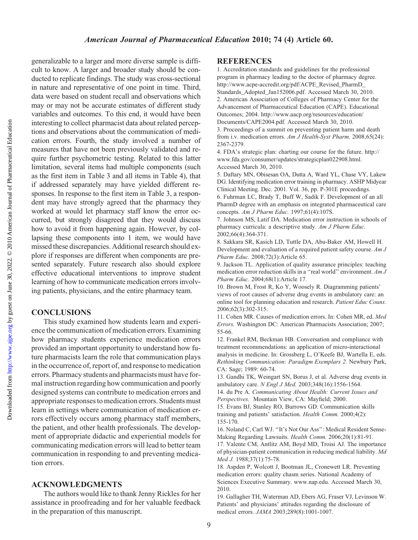Downloaded from

generalizable to a larger and more diverse sample is difficult to know. A larger and broader study should be conducted to replicate findings. The study was cross-sectional in nature and representative of one point in time. Third, data were based on student recall and observations which may or may not be accurate estimates of different study variables and outcomes. To this end, it would have been interesting to collect pharmacist data about related perceptions and observations about the communication of medication errors. Fourth, the study involved a number of measures that have not been previously validated and require further psychometric testing. Related to this latter limitation, several items had multiple components (such as the first item in Table 3 and all items in Table 4), that if addressed separately may have yielded different responses. In response to the first item in Table 3, a respondent may have strongly agreed that the pharmacy they worked at would let pharmacy staff know the error occurred, but strongly disagreed that they would discuss how to avoid it from happening again. However, by collapsing these components into 1 item, we would have missed these discrepancies. Additional research should explore if responses are different when components are presented separately. Future research also should explore effective educational interventions to improve student learning of how to communicate medication errors involving patients, physicians, and the entire pharmacy team.

## **CONCLUSIONS**

This study examined how students learn and experience the communication of medication errors. Examining how pharmacy students experience medication errors provided an important opportunity to understand how future pharmacists learn the role that communication plays in the occurrence of, report of, and response to medication errors. Pharmacy students and pharmacists must have formal instruction regarding how communication and poorly designed systems can contribute to medication errors and appropriate responses to medication errors. Students must learn in settings where communication of medication errors effectively occurs among pharmacy staff members, the patient, and other health professionals. The development of appropriate didactic and experiential models for communicating medication errors will lead to better team communication in responding to and preventing medication errors.

#### ACKNOWLEDGMENTS

The authors would like to thank Jenny Rickles for her assistance in proofreading and for her valuable feedback in the preparation of this manuscript.

#### **REFERENCES**

1. Accreditation standards and guidelines for the professional program in pharmacy leading to the doctor of pharmacy degree. http://www.acpe-accredit.org/pdf/ACPE\_Revised\_PharmD\_ Standards\_Adopted\_Jan152006.pdf. Accessed March 30, 2010. 2. American Association of Colleges of Pharmacy Center for the Advancement of Pharmaceutical Education (CAPE). Educational Outcomes; 2004. http://www.aacp.org/resources/education/ Documents/CAPE2004.pdf. Accessed March 30, 2010.

3. Proceedings of a summit on preventing patient harm and death from i.v. medication errors. Am J Health-Syst Pharm. 2008;65(24): 2367-2379.

4. FDA's strategic plan: charting our course for the future. http:// www.fda.gov/consumer/updates/strategicplan022908.html. Accessed March 30, 2010.

5. Daftary MN, Obisesan OA, Dutta A, Ward YL, Chase VY, Lakew DG. Identifying medication error training in pharmacy. ASHP Midyear Clinical Meeting. Dec. 2001. Vol. 36, pp. P-301E proceedings.

6. Fuhrman LC, Brady T, Buff W, Sadik F. Development of an all PharmD degree with an emphasis on integrated pharmaceutical care concepts. Am J Pharm Educ. 1997;61(4):107S.

7. Johnson MS, Latif DA. Medication error instruction in schools of pharmacy curricula: a descriptive study. Am J Pharm Educ. 2002;66(4):364-371.

8. Sakkara SR, Kasich LD, Tuttle DA, Abu-Baker AM, Howell H. Development and evaluation of a required patient safety course. Am J Pharm Educ. 2008;72(3):Article 65.

9. Jackson TL. Application of quality assurance principles: teaching medication error reduction skills in a ''real world'' environment. Am J Pharm Educ. 2004;68(1):Article 17.

10. Brown M, Frost R, Ko Y, Woosely R. Diagramming patients' views of root causes of adverse drug events in ambulatory care: an online tool for planning education and research. Patient Educ Couns. 2006;62(3):302-315.

11. Cohen MR. Causes of medication errors. In: Cohen MR, ed. Med Errors. Washington DC: American Pharmacists Association; 2007; 55-66.

12. Frankel RM, Beckman HB. Conversation and compliance with treatment recommendations: an application of micro-interactional analysis in medicine. In: Grossberg L, O'Keefe BJ, Wartella E, eds. Rethinking Communication: Paradigm Exemplars 2. Newbury Park, CA: Sage; 1989: 60-74.

13. Gandhi TK, Weingart SN, Borus J, et al. Adverse drug events in ambulatory care. N Engl J Med. 2003;348(16):1556-1564.

14. du Pre A. Communicating About Health: Current Issues and Perspectives. Mountain View, CA: Mayfield; 2000.

15. Evans BJ, Stanley RO, Burrows GD. Communication skills training and patients' satisfaction. Health Comm. 2000;4(2): 155-170.

16. Noland C, Carl WJ. ''It's Not Our Ass'': Medical Resident Sense-Making Regarding Lawsuits. Health Comm. 2006;20(1):81-91.

17. Valente CM, Antlitz AM, Boyd MD, Troisi AJ. The importance of physician-patient communication in reducing medical liability. Md Med J. 1988;37(1):75-78.

18. Aspden P, Wolcott J, Bootman JL, Cronewett LR. Preventing medication errors: quality chasm series. National Academy of Sciences Executive Summary. www.nap.edu. Accessed March 30, 2010.

19. Gallagher TH, Waterman AD, Ebers AG, Fraser VJ, Levinson W. Patients' and physicians' attitudes regarding the disclosure of medical errors. JAMA 2003;289(8):1001-1007.